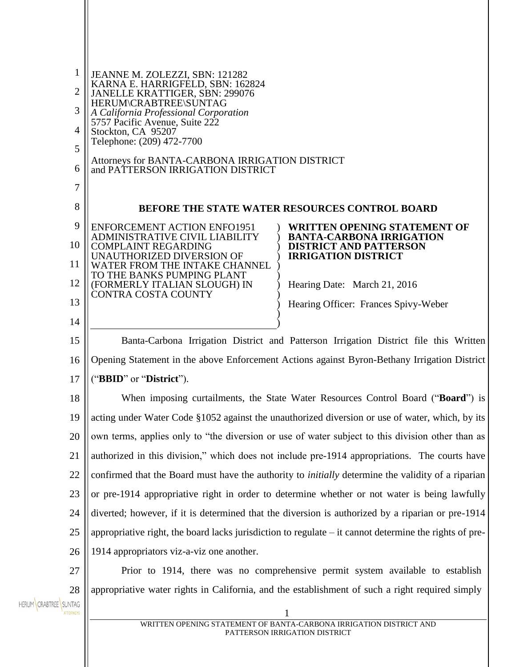| $\mathbf{1}$        | JEANNE M. ZOLEZZI, SBN: 121282                                                                                                                                                                         |
|---------------------|--------------------------------------------------------------------------------------------------------------------------------------------------------------------------------------------------------|
| $\overline{2}$      | KARNA E. HARRIGFELD, SBN: 162824<br>JANELLE KRATTIGER, SBN: 299076                                                                                                                                     |
| 3                   | HERUM\CRABTREE\SUNTAG<br>A California Professional Corporation                                                                                                                                         |
| $\overline{4}$      | 5757 Pacific Avenue, Suite 222<br>Stockton, CA 95207                                                                                                                                                   |
| 5                   | Telephone: (209) 472-7700                                                                                                                                                                              |
| 6                   | Attorneys for BANTA-CARBONA IRRIGATION DISTRICT<br>and PATTERSON IRRIGATION DISTRICT                                                                                                                   |
| 7                   |                                                                                                                                                                                                        |
| 8                   | <b>BEFORE THE STATE WATER RESOURCES CONTROL BOARD</b>                                                                                                                                                  |
| 9<br>10             | <b>ENFORCEMENT ACTION ENFO1951</b><br>WRITTEN OPENING STATEMENT OF<br>ADMINISTRATIVE CIVIL LIABILITY<br><b>BANTA-CARBONA IRRIGATION</b><br><b>DISTRICT AND PATTERSON</b><br><b>COMPLAINT REGARDING</b> |
| 11                  | <b>IRRIGATION DISTRICT</b><br>UNAUTHORIZED DIVERSION OF<br>WATER FROM THE INTAKE CHANNEL                                                                                                               |
| 12                  | TO THE BANKS PUMPING PLANT<br>(FORMERLY ITALIAN SLOUGH) IN<br>Hearing Date: March 21, 2016                                                                                                             |
| 13                  | <b>CONTRA COSTA COUNTY</b><br>Hearing Officer: Frances Spivy-Weber                                                                                                                                     |
| 14                  |                                                                                                                                                                                                        |
| 15                  | Banta-Carbona Irrigation District and Patterson Irrigation District file this Written                                                                                                                  |
| 16                  | Opening Statement in the above Enforcement Actions against Byron-Bethany Irrigation District                                                                                                           |
| 17                  | (" <b>BBID</b> " or " <b>District</b> ").                                                                                                                                                              |
| 18                  | When imposing curtailments, the State Water Resources Control Board (" <b>Board</b> ") is                                                                                                              |
| 19                  | acting under Water Code §1052 against the unauthorized diversion or use of water, which, by its                                                                                                        |
| 20                  | own terms, applies only to "the diversion or use of water subject to this division other than as                                                                                                       |
| 21                  | authorized in this division," which does not include pre-1914 appropriations. The courts have                                                                                                          |
| 22                  | confirmed that the Board must have the authority to <i>initially</i> determine the validity of a riparian                                                                                              |
| 23                  | or pre-1914 appropriative right in order to determine whether or not water is being lawfully                                                                                                           |
| 24                  | diverted; however, if it is determined that the diversion is authorized by a riparian or pre-1914                                                                                                      |
| 25                  | appropriative right, the board lacks jurisdiction to regulate – it cannot determine the rights of pre-                                                                                                 |
| 26                  | 1914 appropriators viz-a-viz one another.                                                                                                                                                              |
| 27                  | Prior to 1914, there was no comprehensive permit system available to establish                                                                                                                         |
| 28<br><b>SUNTAG</b> | appropriative water rights in California, and the establishment of such a right required simply                                                                                                        |
| ATTORNEYS           |                                                                                                                                                                                                        |

 $\parallel$ 

HERUM CRABTREE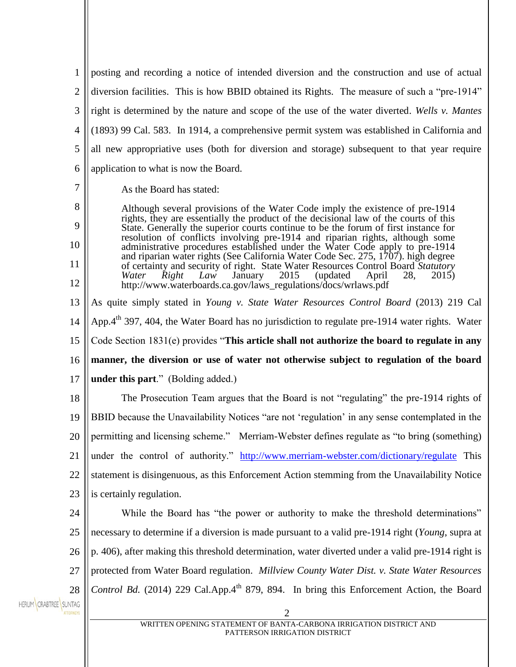| 1                     | posting and recording a notice of intended diversion and the construction and use of actual                                                                                 |
|-----------------------|-----------------------------------------------------------------------------------------------------------------------------------------------------------------------------|
| $\overline{2}$        | diversion facilities. This is how BBID obtained its Rights. The measure of such a "pre-1914"                                                                                |
| 3                     | right is determined by the nature and scope of the use of the water diverted. Wells v. Mantes                                                                               |
| $\overline{4}$        | (1893) 99 Cal. 583. In 1914, a comprehensive permit system was established in California and                                                                                |
| 5                     | all new appropriative uses (both for diversion and storage) subsequent to that year require                                                                                 |
| 6                     | application to what is now the Board.                                                                                                                                       |
| 7                     | As the Board has stated:                                                                                                                                                    |
| 8                     | Although several provisions of the Water Code imply the existence of pre-1914                                                                                               |
| 9                     | rights, they are essentially the product of the decisional law of the courts of this<br>State. Generally the superior courts continue to be the forum of first instance for |
| 10                    | resolution of conflicts involving pre-1914 and riparian rights, although some<br>administrative procedures established under the Water Code apply to pre-1914               |
| 11                    | and riparian water rights (See California Water Code Sec. 275, $1707$ ). high degree<br>of certainty and security of right. State Water Resources Control Board Statutory   |
| 12                    | (updated)<br>Law<br>January<br>2015<br>April<br>Water<br>Right<br>28,<br>2015)<br>http://www.waterboards.ca.gov/laws_regulations/docs/wrlaws.pdf                            |
| 13                    | As quite simply stated in Young v. State Water Resources Control Board (2013) 219 Cal                                                                                       |
| 14                    | App.4 <sup>th</sup> 397, 404, the Water Board has no jurisdiction to regulate pre-1914 water rights. Water                                                                  |
| 15                    | Code Section 1831(e) provides "This article shall not authorize the board to regulate in any                                                                                |
| 16                    | manner, the diversion or use of water not otherwise subject to regulation of the board                                                                                      |
| 17                    | under this part." (Bolding added.)                                                                                                                                          |
| 18                    | The Prosecution Team argues that the Board is not "regulating" the pre-1914 rights of                                                                                       |
| 19                    | BBID because the Unavailability Notices "are not 'regulation' in any sense contemplated in the                                                                              |
| 20                    | permitting and licensing scheme." Merriam-Webster defines regulate as "to bring (something)                                                                                 |
| 21                    | under the control of authority." http://www.merriam-webster.com/dictionary/regulate This                                                                                    |
| 22                    | statement is disingenuous, as this Enforcement Action stemming from the Unavailability Notice                                                                               |
| 23                    | is certainly regulation.                                                                                                                                                    |
| 24                    | While the Board has "the power or authority to make the threshold determinations"                                                                                           |
| 25                    | necessary to determine if a diversion is made pursuant to a valid pre-1914 right (Young, supra at                                                                           |
| 26                    | p. 406), after making this threshold determination, water diverted under a valid pre-1914 right is                                                                          |
| 27                    | protected from Water Board regulation. Millview County Water Dist. v. State Water Resources                                                                                 |
| 28                    | Control Bd. (2014) 229 Cal.App.4 <sup>th</sup> 879, 894. In bring this Enforcement Action, the Board                                                                        |
| HERUM CRABTREE SUNTAG | 2                                                                                                                                                                           |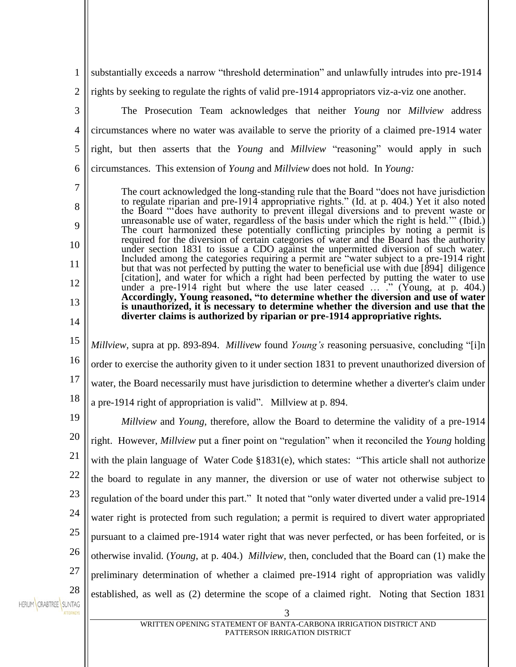3 1 2 3 4 5 6 7 8 9 10 11 12 13 14 15 16 17 18 19 20 21 22 23 24 25 26 27 28 substantially exceeds a narrow "threshold determination" and unlawfully intrudes into pre-1914 rights by seeking to regulate the rights of valid pre-1914 appropriators viz-a-viz one another. The Prosecution Team acknowledges that neither *Young* nor *Millview* address circumstances where no water was available to serve the priority of a claimed pre-1914 water right, but then asserts that the *Young* and *Millview* "reasoning" would apply in such circumstances. This extension of *Young* and *Millview* does not hold. In *Young:* The court acknowledged the long-standing rule that the Board "does not have jurisdiction to regulate riparian and pre-1914 appropriative rights." (Id. at p. 404.) Yet it also noted the Board "'does have authority to prevent illegal diversions and to prevent waste or unreasonable use of water, regardless of the basis under which the right is held.'" (Ibid.) The court harmonized these potentially conflicting principles by noting a permit is required for the diversion of certain categories of water and the Board has the authority under section 1831 to issue a CDO against the unpermitted diversion of such water. Included among the categories requiring a permit are "water subject to a pre-1914 right but that was not perfected by putting the water to beneficial use with due [894] diligence [citation], and water for which a right had been perfected by putting the water to use under a pre-1914 right but where the use later ceased  $\ldots$  ." (Young, at p. 404.) **Accordingly, Young reasoned, "to determine whether the diversion and use of water is unauthorized, it is necessary to determine whether the diversion and use that the diverter claims is authorized by riparian or pre-1914 appropriative rights.** *Millview,* supra at pp. 893-894. *Millivew* found *Young's* reasoning persuasive, concluding "[i]n order to exercise the authority given to it under section 1831 to prevent unauthorized diversion of water, the Board necessarily must have jurisdiction to determine whether a diverter's claim under a pre-1914 right of appropriation is valid". Millview at p. 894. *Millview* and *Young*, therefore, allow the Board to determine the validity of a pre-1914 right. However, *Millview* put a finer point on "regulation" when it reconciled the *Young* holding with the plain language of Water Code §1831(e), which states: "This article shall not authorize the board to regulate in any manner, the diversion or use of water not otherwise subject to regulation of the board under this part." It noted that "only water diverted under a valid pre-1914 water right is protected from such regulation; a permit is required to divert water appropriated pursuant to a claimed pre-1914 water right that was never perfected, or has been forfeited, or is otherwise invalid. (*Young*, at p. 404.) *Millview,* then, concluded that the Board can (1) make the preliminary determination of whether a claimed pre-1914 right of appropriation was validly established, as well as (2) determine the scope of a claimed right. Noting that Section 1831

HERUM CRABTREE SUNTAG

WRITTEN OPENING STATEMENT OF BANTA-CARBONA IRRIGATION DISTRICT AND PATTERSON IRRIGATION DISTRICT